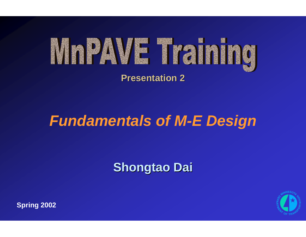

#### **Presentation 2 Presentation 2**

## *Fundamentals of M-E Design*

### **Shongtao Shongtao Dai**



**Spring 2002**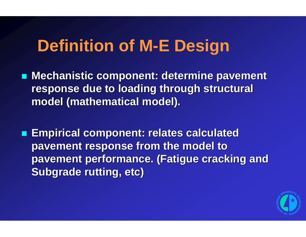## **Definition of M-E Design**

**Mechanistic component: determine pavement Internal determine parament** response due to loading through structural model (mathematical model).

 **Empirical component: relates calculated Empirical component: relates calculated pavement response from the model to pavement response from the model to pavement performance. (Fatigue cracking and pavement performance. (Fatigue cracking and Subgrade rutting, etc) Subgrade rutting, etc)**

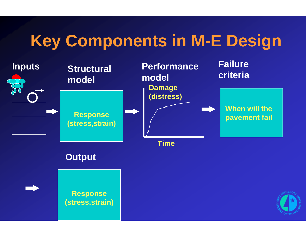## **Key Components in M-E Design**

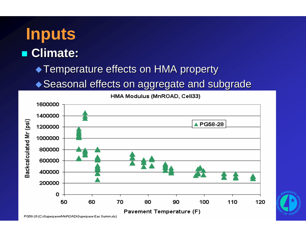## **Inputs** ■ Climate: ◆ Temperature effects on HMA property  $\blacklozenge$  Seasonal effects on aggregate and subgrade



PG58-28 (C:\Superpave\MnROAD\Superpave Eac Summ.xls)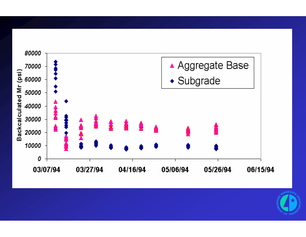

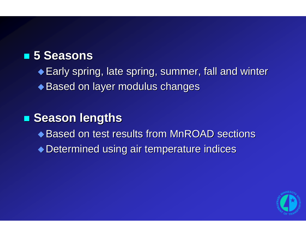#### **5 Seasons 5 Seasons**

 $\triangle$  Early spring, late spring, summer, fall and winter

◆ Based on layer modulus changes

#### **Exason lengths**

- ◆ Based on test results from MnROAD sections
- ◆ Determined using air temperature indices

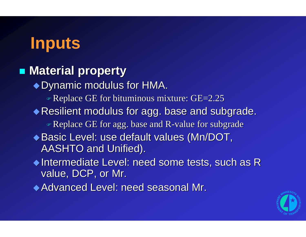## **Inputs**

#### $\blacksquare$  **Material property**

 $\rightarrow$  Dynamic modulus for HMA.

**Replace GE for bituminous mixture: GE=2.25** 

 $\blacklozenge$  Resilient modulus for agg. base and subgrade.

 $\triangleleft$  Replace GE for agg. base and R-value for subgrade

- ◆ Basic Level: use default values (Mn/DOT, AASHTO and Unified).
- Intermediate Level: need some tests, such as R Intermediate Level: need some tests, such as R value, DCP, or Mr.

Advanced Level: need seasonal Mr. Advanced Level: need seasonal Mr.

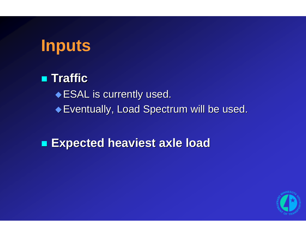

 **Traffic Traffic** $\bullet$  ESAL is currently used. Eventually, Load Spectrum will be used. Eventually, Load Spectrum will be used.

#### **Expected heaviest axle load Expected heaviest axle load**

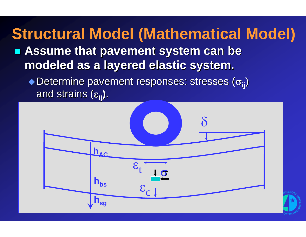**Exagge 1 Assume that pavement system can be modeled as a layered elastic system. modeled as a layered elastic system.**  $\rightarrow$  Determine pavement responses: stresses (σ<sub>ii</sub>) **Structural Model (Mathematical Model)**

and strains ( and strains (<sup>ε</sup>**ij)**.

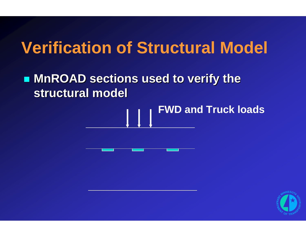## **Verification of Structural Model**

### **MIROAD sections used to verify the structural model structural model**

# **FWD and Truck loads**



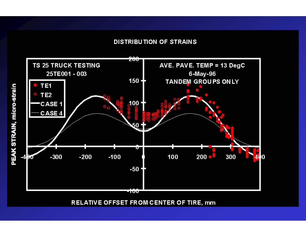#### **DISTRIBUTION OF STRAINS**



RELATIVE OFFSET FROM CENTER OF TIRE, mm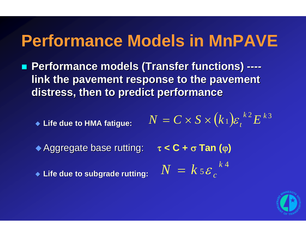## **Performance Models in MnPAVE**

■ Performance models (Transfer functions) ---link the pavement response to the pavement **distress, then to predict performance distress, then to predict performance**

 **Life due to HMA fatigue: Life due to HMA fatigue:**  $(k_\perp){\varepsilon}_{{\scriptscriptstyle{t}}}^{\,\,\,k\,2}E^{\,k\,3}$  $k$  2  $\mathbf{r}$   $k$  $N = C \times S \times (k_1) \varepsilon_t^{\kappa_2} E$ 

**Aggregate base rutting:** τ $\tau < C +$ σ**Tan (**

**Life due to subgrade rutting: Life due to subgrade rutting:**

$$
\tau C + \sigma \operatorname{Tan} (\varphi)
$$

$$
N = k \, s \, \varepsilon_c^{k \, 4}
$$

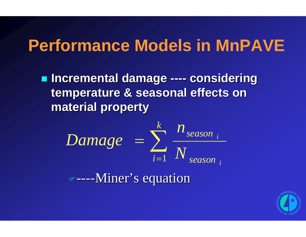## **Performance Models in MnPAVE**

**Incremental damage ---- considering temperature & seasonal effects on temperature & seasonal effects on material property material property**

$$
Damage = \sum_{i=1}^{k} \frac{n_{season}}{N_{season}}_{i}
$$

)----Miner's equation Miner's equation

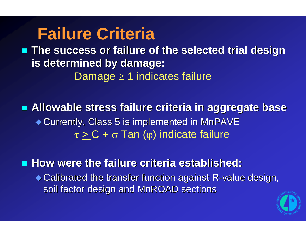## **Failure Criteria**

■ The success or failure of the selected trial design **is determined by damage: is determined by damage:** Damage ≥ 1 indicates failure

 **Allowable stress failure criteria in aggregate base Allowable stress failure criteria in aggregate base** ◆ Currently, Class 5 is implemented in MnPAVE τ  $\geq$  C +  $\sigma$  Tan (φ) indicate failure

■ How were the failure criteria established:

 $\bullet$  Calibrated the transfer function against R-value design, soil factor design and MnROAD sections

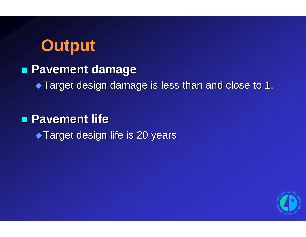## **Output**

#### **Pavement damage Pavement damage**

Target design damage is less than and close to 1. Target design damage is less than and close to 1.

#### **Pavement life Pavement life**

 $\blacktriangleright$  Target design life is 20 years